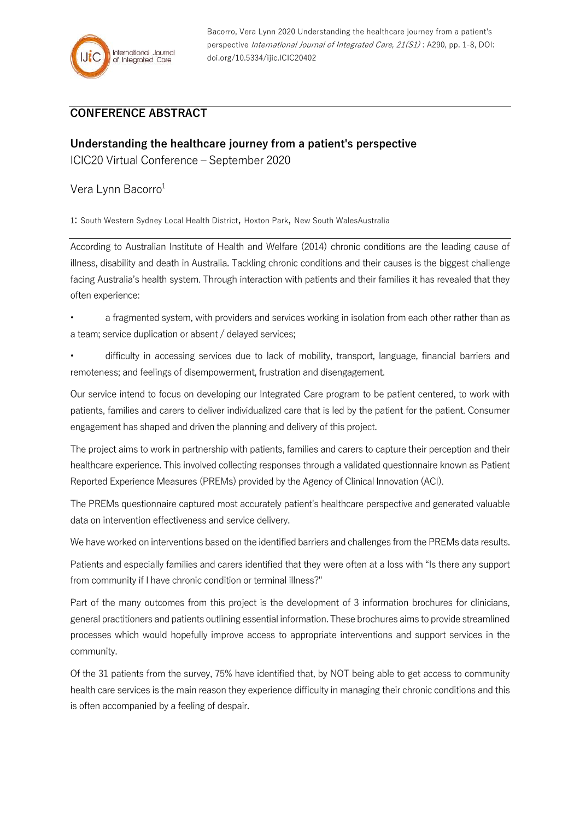Bacorro, Vera Lynn 2020 Understanding the healthcare journey from a patient's perspective International Journal of Integrated Care, 21(S1) : A290, pp. 1-8, DOI: doi.org/10.5334/ijic.ICIC20402

## **CONFERENCE ABSTRACT**

## **Understanding the healthcare journey from a patient's perspective**

ICIC20 Virtual Conference – September 2020

Vera Lynn Bacorro<sup>1</sup>

1: South Western Sydney Local Health District, Hoxton Park, New South WalesAustralia

According to Australian Institute of Health and Welfare (2014) chronic conditions are the leading cause of illness, disability and death in Australia. Tackling chronic conditions and their causes is the biggest challenge facing Australia's health system. Through interaction with patients and their families it has revealed that they often experience:

- a fragmented system, with providers and services working in isolation from each other rather than as a team; service duplication or absent / delayed services;
- difficulty in accessing services due to lack of mobility, transport, language, financial barriers and remoteness; and feelings of disempowerment, frustration and disengagement.

Our service intend to focus on developing our Integrated Care program to be patient centered, to work with patients, families and carers to deliver individualized care that is led by the patient for the patient. Consumer engagement has shaped and driven the planning and delivery of this project.

The project aims to work in partnership with patients, families and carers to capture their perception and their healthcare experience. This involved collecting responses through a validated questionnaire known as Patient Reported Experience Measures (PREMs) provided by the Agency of Clinical Innovation (ACI).

The PREMs questionnaire captured most accurately patient's healthcare perspective and generated valuable data on intervention effectiveness and service delivery.

We have worked on interventions based on the identified barriers and challenges from the PREMs data results.

Patients and especially families and carers identified that they were often at a loss with "Is there any support from community if I have chronic condition or terminal illness?"

Part of the many outcomes from this project is the development of 3 information brochures for clinicians, general practitioners and patients outlining essential information. These brochures aims to provide streamlined processes which would hopefully improve access to appropriate interventions and support services in the community.

Of the 31 patients from the survey, 75% have identified that, by NOT being able to get access to community health care services is the main reason they experience difficulty in managing their chronic conditions and this is often accompanied by a feeling of despair.